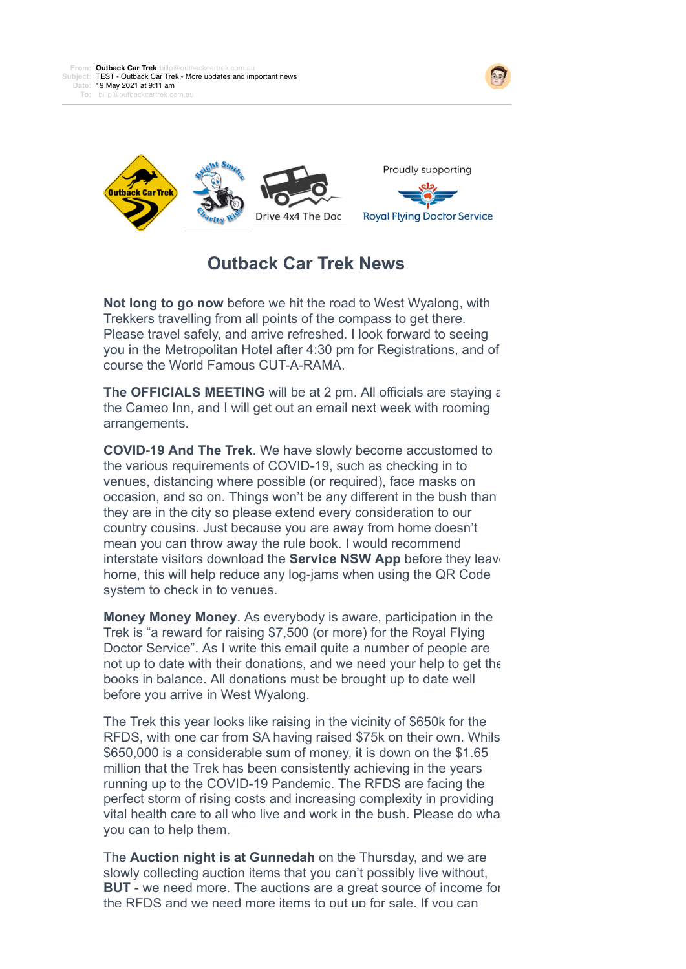



## **Outback Car Trek News**

**Not long to go now** before we hit the road to West Wyalong, with Trekkers travelling from all points of the compass to get there. Please travel safely, and arrive refreshed. I look forward to seeing you in the Metropolitan Hotel after 4:30 pm for Registrations, and of course the World Famous CUT-A-RAMA.

**The OFFICIALS MEETING** will be at 2 pm. All officials are staying at the Cameo Inn, and I will get out an email next week with rooming arrangements.

**COVID-19 And The Trek**. We have slowly become accustomed to the various requirements of COVID-19, such as checking in to venues, distancing where possible (or required), face masks on occasion, and so on. Things won't be any different in the bush than they are in the city so please extend every consideration to our country cousins. Just because you are away from home doesn't mean you can throw away the rule book. I would recommend interstate visitors download the **Service NSW App** before they leave home, this will help reduce any log-jams when using the QR Code system to check in to venues.

**Money Money Money**. As everybody is aware, participation in the Trek is "a reward for raising \$7,500 (or more) for the Royal Flying Doctor Service". As I write this email quite a number of people are not up to date with their donations, and we need your help to get the books in balance. All donations must be brought up to date well before you arrive in West Wyalong.

The Trek this year looks like raising in the vicinity of \$650k for the RFDS, with one car from SA having raised \$75k on their own. Whils \$650,000 is a considerable sum of money, it is down on the \$1.65 million that the Trek has been consistently achieving in the years running up to the COVID-19 Pandemic. The RFDS are facing the perfect storm of rising costs and increasing complexity in providing vital health care to all who live and work in the bush. Please do what you can to help them.

The **Auction night is at Gunnedah** on the Thursday, and we are slowly collecting auction items that you can't possibly live without, **BUT** - we need more. The auctions are a great source of income for the RFDS and we need more items to put up for sale. If you can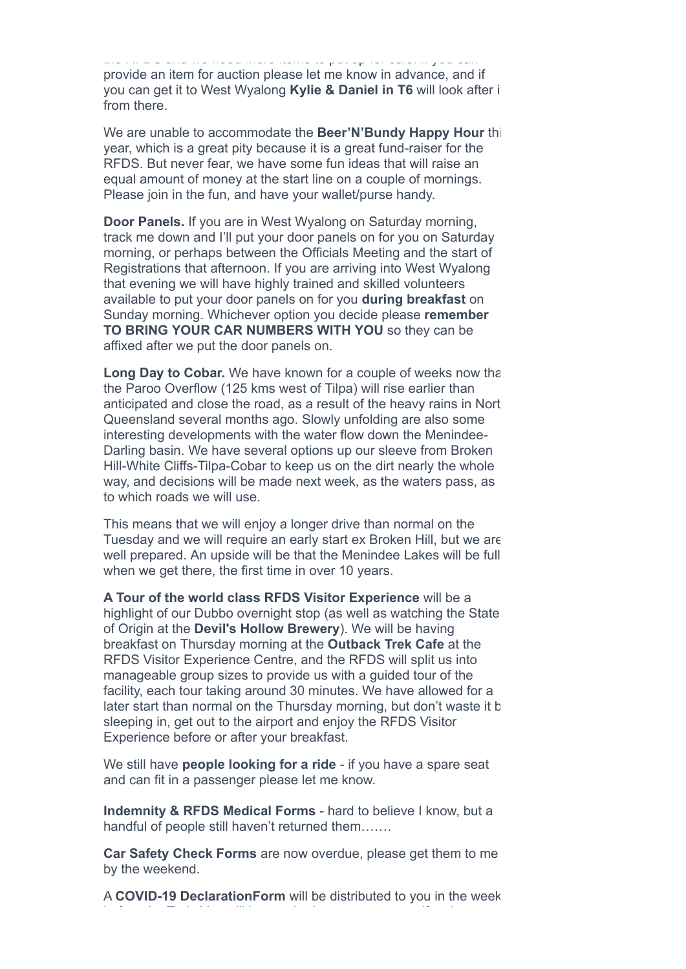the RFDS and we need more items to put up for sale. If you can provide an item for auction please let me know in advance, and if you can get it to West Wyalong **Kylie & Daniel in T6** will look after it from there.

We are unable to accommodate the **Beer'N'Bundy Happy Hour** this year, which is a great pity because it is a great fund-raiser for the RFDS. But never fear, we have some fun ideas that will raise an equal amount of money at the start line on a couple of mornings. Please join in the fun, and have your wallet/purse handy.

**Door Panels.** If you are in West Wyalong on Saturday morning, track me down and I'll put your door panels on for you on Saturday morning, or perhaps between the Officials Meeting and the start of Registrations that afternoon. If you are arriving into West Wyalong that evening we will have highly trained and skilled volunteers available to put your door panels on for you **during breakfast** on Sunday morning. Whichever option you decide please **remember TO BRING YOUR CAR NUMBERS WITH YOU** so they can be affixed after we put the door panels on.

Long Day to Cobar. We have known for a couple of weeks now that the Paroo Overflow (125 kms west of Tilpa) will rise earlier than anticipated and close the road, as a result of the heavy rains in North Queensland several months ago. Slowly unfolding are also some interesting developments with the water flow down the Menindee-Darling basin. We have several options up our sleeve from Broken Hill-White Cliffs-Tilpa-Cobar to keep us on the dirt nearly the whole way, and decisions will be made next week, as the waters pass, as to which roads we will use.

This means that we will enjoy a longer drive than normal on the Tuesday and we will require an early start ex Broken Hill, but we are well prepared. An upside will be that the Menindee Lakes will be full when we get there, the first time in over 10 years.

**A Tour of the world class RFDS Visitor Experience** will be a highlight of our Dubbo overnight stop (as well as watching the State of Origin at the **Devil's Hollow Brewery**). We will be having breakfast on Thursday morning at the **Outback Trek Cafe** at the RFDS Visitor Experience Centre, and the RFDS will split us into manageable group sizes to provide us with a guided tour of the facility, each tour taking around 30 minutes. We have allowed for a later start than normal on the Thursday morning, but don't waste it b sleeping in, get out to the airport and enjoy the RFDS Visitor Experience before or after your breakfast.

We still have **people looking for a ride** - if you have a spare seat and can fit in a passenger please let me know.

**Indemnity & RFDS Medical Forms** - hard to believe I know, but a handful of people still haven't returned them…….

**Car Safety Check Forms** are now overdue, please get them to me by the weekend.

A **COVID-19 DeclarationForm** will be distributed to you in the week

before the Trek. You will be required to present yourself at the